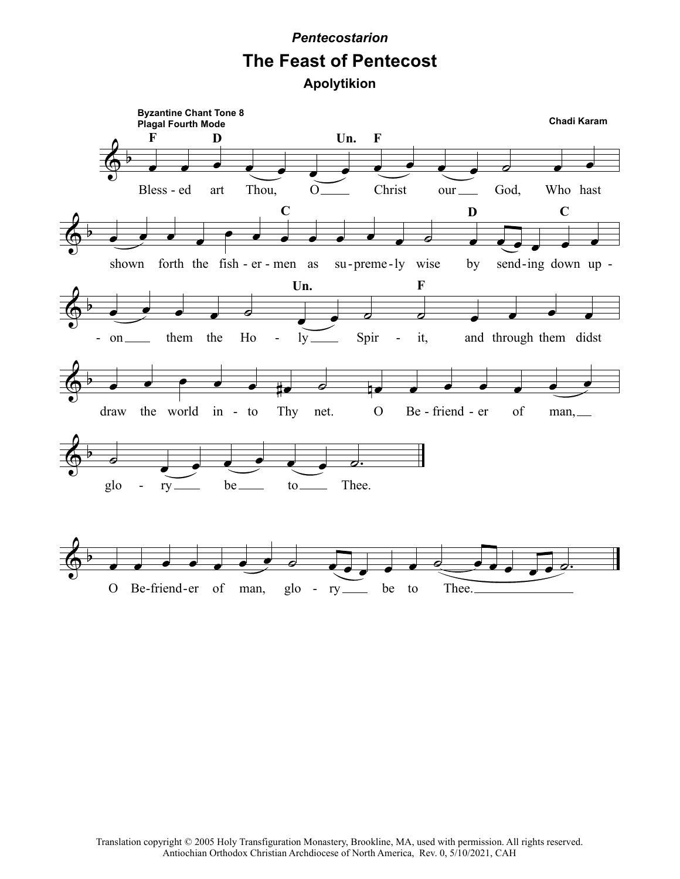## *Pentecostarion*

## **The Feast of Pentecost**

**Apolytikion**